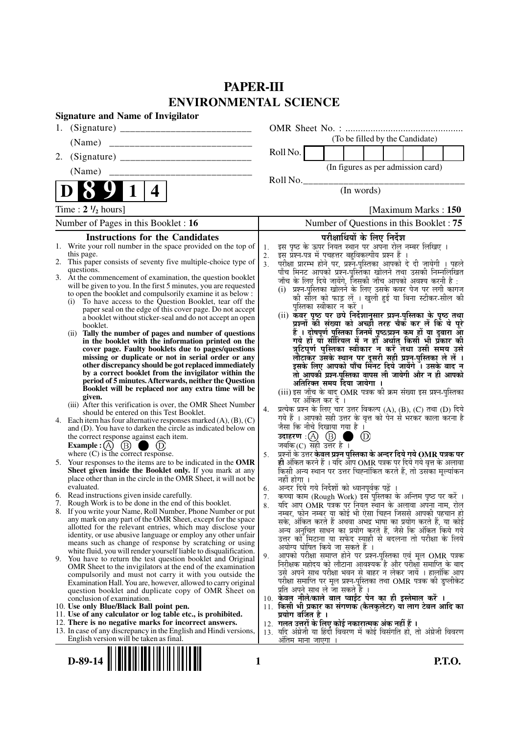# **PAPER-III ENVIRONMENTAL SCIENCE**

|    | <b>Signature and Name of Invigilator</b>                                                                                                 |                      |                                                                                                                                     |
|----|------------------------------------------------------------------------------------------------------------------------------------------|----------------------|-------------------------------------------------------------------------------------------------------------------------------------|
| 1. |                                                                                                                                          |                      |                                                                                                                                     |
|    | (Name)                                                                                                                                   |                      | (To be filled by the Candidate)                                                                                                     |
| 2. |                                                                                                                                          |                      | Roll No.                                                                                                                            |
|    | (Name)                                                                                                                                   |                      | (In figures as per admission card)                                                                                                  |
|    |                                                                                                                                          |                      | Roll No.                                                                                                                            |
|    | 4                                                                                                                                        |                      | (In words)                                                                                                                          |
|    | Time : $2 \frac{1}{2}$ hours]                                                                                                            |                      | [Maximum Marks: 150]                                                                                                                |
|    | Number of Pages in this Booklet : 16                                                                                                     |                      | Number of Questions in this Booklet: 75                                                                                             |
|    | <b>Instructions for the Candidates</b>                                                                                                   |                      | परीक्षार्थियों के लिए निर्देश                                                                                                       |
|    | 1. Write your roll number in the space provided on the top of                                                                            | 1.                   | इस पृष्ठ के ऊपर नियत स्थान पर अपना रोल नम्बर लिखिए ।                                                                                |
|    | this page.<br>2. This paper consists of seventy five multiple-choice type of                                                             | 2.<br>3 <sub>1</sub> | इस प्रश्न-पत्र में पचहत्तर बहुविकल्पीय प्रश्न हैं ।<br>परीक्षा प्रारम्भ होने पर, प्रश्न-पुस्तिका आपको दे दी जायेगी । पहले           |
|    | questions.                                                                                                                               |                      | पाँच मिनट आपको प्रश्न-पुस्तिका खोलने तथा उसकी निम्नलिखित                                                                            |
|    | 3. At the commencement of examination, the question booklet                                                                              |                      | जाँच के लिए दिये जायेंगे, जिसकी जाँच आपको अवश्य करनी है :                                                                           |
|    | will be given to you. In the first 5 minutes, you are requested<br>to open the booklet and compulsorily examine it as below :            |                      | (i) प्रश्न-पुस्तिका खोलने के लिए उसके कवर पेज पर लगी कागज                                                                           |
|    | To have access to the Question Booklet, tear off the<br>(i)                                                                              |                      | की सील को फाड़ लें । खुली हुई या बिना स्टीकर-सील की                                                                                 |
|    | paper seal on the edge of this cover page. Do not accept                                                                                 |                      | पुस्तिका स्वीकार न करें ।                                                                                                           |
|    | a booklet without sticker-seal and do not accept an open<br>booklet.                                                                     |                      | (ii) कॅवर पृष्ठ पर छपे निर्देशानुसार प्रश्न-पुस्तिका के पृष्ठ तथा<br>प्रश्नों की संख्या को अच्छी तरह चैक कर लें कि वे पूरे          |
|    | (ii) Tally the number of pages and number of questions                                                                                   |                      | हैं । दोषपूर्ण पुस्तिका जिनमें पृष्ठ/प्रश्न कम हों या दुबारा आ                                                                      |
|    | in the booklet with the information printed on the                                                                                       |                      | गये हों या सीरियल में न हों अर्थात् किसी भी प्रकार की                                                                               |
|    | cover page. Faulty booklets due to pages/questions                                                                                       |                      | त्रुटिपूर्ण पुस्तिका स्वीकार न करें तथा उसी समय उसे                                                                                 |
|    | missing or duplicate or not in serial order or any<br>other discrepancy should be got replaced immediately                               |                      | लौटाकेर उसके स्थान पर दूसरी सही प्रश्न-पुस्तिका ले लें ।<br>इसके लिए आपको पाँच मिंनट दिये जायेंगे । उसके बाद न                      |
|    | by a correct booklet from the invigilator within the                                                                                     |                      | तो आपकी प्रश्न-पुस्तिका वापस ली जायेगी और न ही आपको                                                                                 |
|    | period of 5 minutes. Afterwards, neither the Question                                                                                    |                      | अतिरिक्त समय दिया जायेगा ।                                                                                                          |
|    | Booklet will be replaced nor any extra time will be<br>given.                                                                            |                      | (iii) इस जाँच के बाद OMR पत्रक की क्रम संख्या इस प्रश्न-पुस्तिका                                                                    |
|    | (iii) After this verification is over, the OMR Sheet Number                                                                              |                      | पर अंकित कर दें ।                                                                                                                   |
|    | should be entered on this Test Booklet.                                                                                                  | 4.                   | प्रत्येक प्रश्न के लिए चार उत्तर विकल्प (A), (B), (C) तथा (D) दिये<br>गये हैं । आपको सही उत्तर के वृत्त को पेन से भरकर काला करना है |
|    | 4. Each item has four alternative responses marked $(A)$ , $(B)$ , $(C)$<br>and (D). You have to darken the circle as indicated below on |                      | जैसा कि नीचे दिखाया गया है ।                                                                                                        |
|    | the correct response against each item.                                                                                                  |                      | $\circled{\scriptstyle D}$                                                                                                          |
|    | Example : (A) $(B)$<br>(D)                                                                                                               |                      | जबकि(C) सही उत्तर है।                                                                                                               |
|    | where $(C)$ is the correct response.                                                                                                     | 5.                   | प्रश्नों के उत्तर केवल प्रश्न पुस्तिका के अन्दर दिये गये OMR पत्रक पर                                                               |
|    | 5. Your responses to the items are to be indicated in the OMR<br>Sheet given inside the Booklet only. If you mark at any                 |                      | ही अंकित करने हैं । यदि आप OMR पत्रक पर दिये गये वृत्त के अलावा<br>किसी अन्य स्थान पर उत्तर चिह्नांकित करते हैं, तो उसका मूल्यांकन  |
|    | place other than in the circle in the OMR Sheet, it will not be                                                                          |                      | नहीं होगा ।                                                                                                                         |
|    | evaluated.                                                                                                                               | 6.                   | अन्दर दिये गये निर्देशों को ध्यानपूर्वक पढ़ें ।                                                                                     |
|    | 6. Read instructions given inside carefully.<br>7. Rough Work is to be done in the end of this booklet.                                  | 7.                   | कच्चा काम (Rough Work) इस पुस्तिका के अन्तिम पृष्ठ पर करें ।                                                                        |
|    | 8. If you write your Name, Roll Number, Phone Number or put                                                                              | 8.                   | यदि आप OMR पत्रक पर नियत स्थान के अलावा अपना नाम, रोल                                                                               |
|    | any mark on any part of the OMR Sheet, except for the space                                                                              |                      | नम्बर, फोन नम्बर या कोई भी ऐसा चिह्न जिससे आपकी पहचान हो<br>सके, अंकित करते हैं अथवा अभद्र भाषा का प्रयोग करते हैं, या कोई          |
|    | allotted for the relevant entries, which may disclose your                                                                               |                      | अन्य अनुचित साधन का प्रयोग करते हैं, जैसे कि अंकित किये गये                                                                         |
|    | identity, or use abusive language or employ any other unfair<br>means such as change of response by scratching or using                  |                      | उत्तर को मिटाना या सफेद स्याही से बदलना तो परीक्षा के लिये                                                                          |
|    | white fluid, you will render yourself liable to disqualification.                                                                        |                      | अयोग्य घोषित किये जा सकते हैं ।                                                                                                     |
|    | 9. You have to return the test question booklet and Original                                                                             | 9.                   | आपको परीक्षा समाप्त होने पर प्रश्न-पुस्तिका एवं मूल OMR पत्रक<br>निरीक्षक महोदय को लौटाना आवश्यक है और परीक्षा समाप्ति के बाद       |
|    | OMR Sheet to the invigilators at the end of the examination<br>compulsorily and must not carry it with you outside the                   |                      | उसे अपने साथ परीक्षा भवन से बाहर न लेकर जायें । हालांकि आप                                                                          |
|    | Examination Hall. You are, however, allowed to carry original                                                                            |                      | परीक्षा समाप्ति पर मूल प्रश्न-पुस्तिका तथा OMR पत्रक की डुप्लीकेट                                                                   |
|    | question booklet and duplicate copy of OMR Sheet on                                                                                      |                      | प्रति अपने साथ ले जा सकते हैं ।                                                                                                     |
|    | conclusion of examination.                                                                                                               |                      | 10. केवल नीले/काले बाल प्वाईंट पेन का ही इस्तेमाल करें ।                                                                            |
|    | 10. Use only Blue/Black Ball point pen.<br>11. Use of any calculator or log table etc., is prohibited.                                   |                      | 11. किसी भी प्रकार का संगणक (कैलकुलेटर) या लाग टेबल आदि का<br>प्रयोग वर्जित है ।                                                    |
|    | 12. There is no negative marks for incorrect answers.                                                                                    |                      | 12.  गलत उत्तरों के लिए कोई नकारात्मक अंक नहीं हैं ।                                                                                |
|    | 13. In case of any discrepancy in the English and Hindi versions,                                                                        |                      | 13. यदि अंग्रेजी या हिंदी विवरण में कोई विसंगति हो, तो अंग्रेजी विवरण                                                               |
|    | English version will be taken as final.                                                                                                  |                      | <u>अंतिम माना जाएगा </u>                                                                                                            |

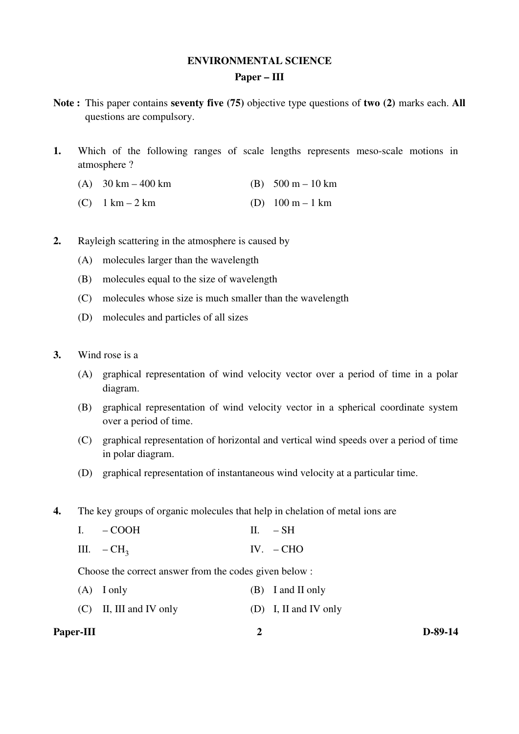## **ENVIRONMENTAL SCIENCE Paper – III**

- **Note :** This paper contains **seventy five (75)** objective type questions of **two (2)** marks each. **All** questions are compulsory.
- **1.** Which of the following ranges of scale lengths represents meso-scale motions in atmosphere ?
	- (A)  $30 \text{ km} 400 \text{ km}$  (B)  $500 \text{ m} 10 \text{ km}$
	- (C)  $1 \text{ km} 2 \text{ km}$  (D)  $100 \text{ m} 1 \text{ km}$
- **2.** Rayleigh scattering in the atmosphere is caused by
	- (A) molecules larger than the wavelength
	- (B) molecules equal to the size of wavelength
	- (C) molecules whose size is much smaller than the wavelength
	- (D) molecules and particles of all sizes
- **3.** Wind rose is a
	- (A) graphical representation of wind velocity vector over a period of time in a polar diagram.
	- (B) graphical representation of wind velocity vector in a spherical coordinate system over a period of time.
	- (C) graphical representation of horizontal and vertical wind speeds over a period of time in polar diagram.
	- (D) graphical representation of instantaneous wind velocity at a particular time.
- **4.** The key groups of organic molecules that help in chelation of metal ions are
	- I. COOH II. SH
	- III.  $-CH<sub>2</sub>$ IV. – CHO

Choose the correct answer from the codes given below :

- (A) I only (B) I and II only
- (C) II, III and IV only (D) I, II and IV only

#### **Paper-III** D-89-14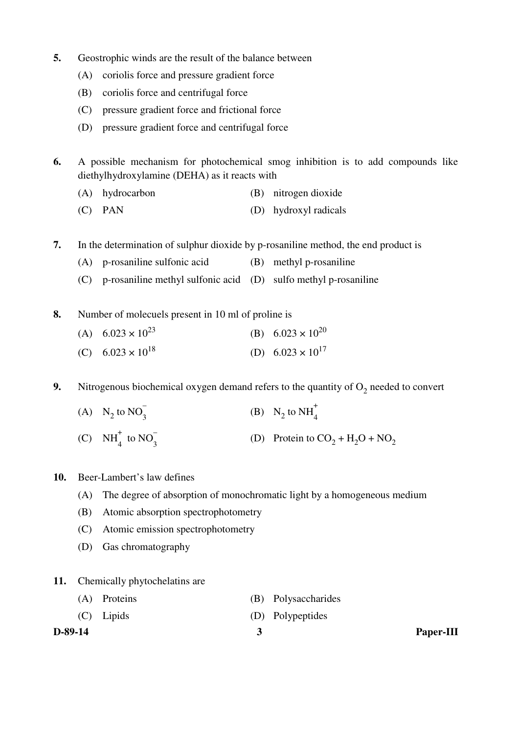- **5.** Geostrophic winds are the result of the balance between
	- (A) coriolis force and pressure gradient force
	- (B) coriolis force and centrifugal force
	- (C) pressure gradient force and frictional force
	- (D) pressure gradient force and centrifugal force
- **6.** A possible mechanism for photochemical smog inhibition is to add compounds like diethylhydroxylamine (DEHA) as it reacts with
	- (A) hydrocarbon (B) nitrogen dioxide
	- (C) PAN (D) hydroxyl radicals
- **7.** In the determination of sulphur dioxide by p-rosaniline method, the end product is
	- (A) p-rosaniline sulfonic acid (B) methyl p-rosaniline
	- (C) p-rosaniline methyl sulfonic acid (D) sulfo methyl p-rosaniline
- **8.** Number of molecuels present in 10 ml of proline is
- (A)  $6.023 \times 10^{23}$  (B)  $6.023 \times 10^{20}$
- (C)  $6.023 \times 10^{18}$  (D)  $6.023 \times 10^{17}$
- **9.** Nitrogenous biochemical oxygen demand refers to the quantity of  $O_2$  needed to convert
- (A)  $N_2$  to  $NO_3^-$ (B)  $N_2$  to  $NH_4^+$  $\frac{1}{4}$ (C)  $NH_4^+$  to  $NO_3^-$ (D) Protein to  $CO_2 + H_2O + NO_2$
- **10.** Beer-Lambert's law defines
	- (A) The degree of absorption of monochromatic light by a homogeneous medium
	- (B) Atomic absorption spectrophotometry
	- (C) Atomic emission spectrophotometry
	- (D) Gas chromatography
- **11.** Chemically phytochelatins are
	- (A) Proteins (B) Polysaccharides (C) Lipids (D) Polypeptides
- 
- 
- **D-89-14 3 Paper-III**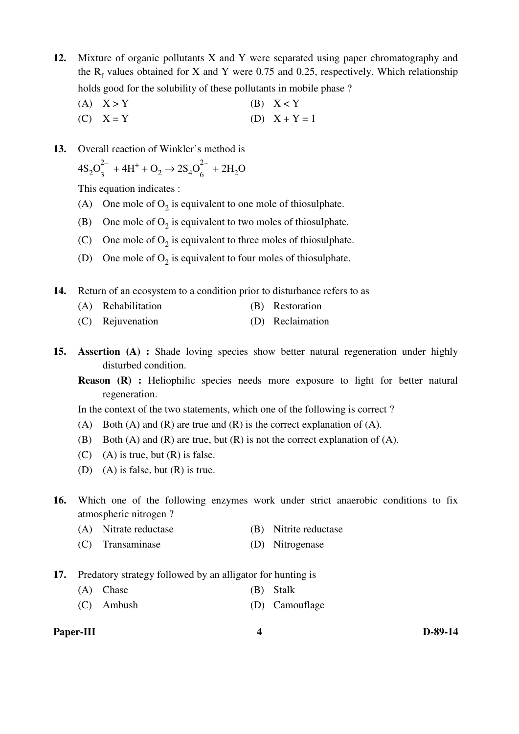- **12.** Mixture of organic pollutants X and Y were separated using paper chromatography and the  $R_f$  values obtained for X and Y were 0.75 and 0.25, respectively. Which relationship holds good for the solubility of these pollutants in mobile phase ?
	- (A)  $X > Y$  (B)  $X < Y$ (C)  $X = Y$  (D)  $X + Y = 1$
- **13.** Overall reaction of Winkler's method is

$$
4S_2O_3^{2-} + 4H^+ + O_2 \rightarrow 2S_4O_6^{2-} + 2H_2O
$$

This equation indicates :

- (A) One mole of  $O_2$  is equivalent to one mole of thiosulphate.
- (B) One mole of  $O_2$  is equivalent to two moles of thiosulphate.
- (C) One mole of  $O_2$  is equivalent to three moles of thiosulphate.
- (D) One mole of  $O_2$  is equivalent to four moles of thiosulphate.
- **14.** Return of an ecosystem to a condition prior to disturbance refers to as
	- (A) Rehabilitation (B) Restoration
	- (C) Rejuvenation (D) Reclaimation
- **15. Assertion (A) :** Shade loving species show better natural regeneration under highly disturbed condition.
	- **Reason (R) :** Heliophilic species needs more exposure to light for better natural regeneration.

In the context of the two statements, which one of the following is correct ?

- (A) Both (A) and (R) are true and (R) is the correct explanation of (A).
- (B) Both (A) and (R) are true, but (R) is not the correct explanation of (A).
- $(C)$  (A) is true, but  $(R)$  is false.
- (D) (A) is false, but (R) is true.
- **16.** Which one of the following enzymes work under strict anaerobic conditions to fix atmospheric nitrogen ?
	- (A) Nitrate reductase (B) Nitrite reductase
	- (C) Transaminase (D) Nitrogenase
- **17.** Predatory strategy followed by an alligator for hunting is
	- (A) Chase (B) Stalk
	- (C) Ambush (D) Camouflage

#### **Paper-III** D-89-14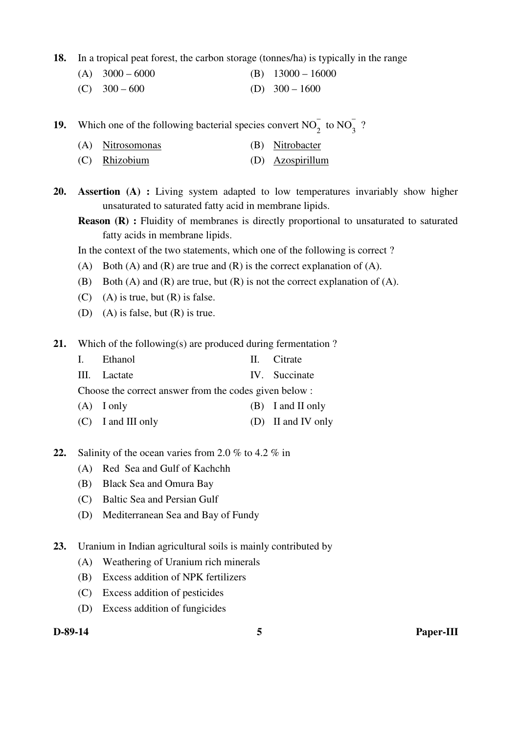- **18.** In a tropical peat forest, the carbon storage (tonnes/ha) is typically in the range
	- (A)  $3000 6000$  (B)  $13000 16000$
	- (C)  $300 600$  (D)  $300 1600$

**19.** Which one of the following bacterial species convert  $NO_2^-$  to  $NO_3^-$ ?

- (A) Nitrosomonas (B) Nitrobacter
- (C) Rhizobium (D) Azospirillum
- **20. Assertion (A) :** Living system adapted to low temperatures invariably show higher unsaturated to saturated fatty acid in membrane lipids.
	- **Reason (R) :** Fluidity of membranes is directly proportional to unsaturated to saturated fatty acids in membrane lipids.

In the context of the two statements, which one of the following is correct ?

- (A) Both (A) and (R) are true and (R) is the correct explanation of (A).
- (B) Both (A) and (R) are true, but (R) is not the correct explanation of (A).
- $(C)$  (A) is true, but  $(R)$  is false.
- (D) (A) is false, but (R) is true.
- **21.** Which of the following(s) are produced during fermentation ?
	- I. Ethanol II. Citrate III. Lactate IV. Succinate Choose the correct answer from the codes given below : (A) I only (B) I and II only
	- (C) I and III only (D) II and IV only
- **22.** Salinity of the ocean varies from 2.0 % to 4.2 % in
	- (A) Red Sea and Gulf of Kachchh
	- (B) Black Sea and Omura Bay
	- (C) Baltic Sea and Persian Gulf
	- (D) Mediterranean Sea and Bay of Fundy
- **23.** Uranium in Indian agricultural soils is mainly contributed by
	- (A) Weathering of Uranium rich minerals
	- (B) Excess addition of NPK fertilizers
	- (C) Excess addition of pesticides
	- (D) Excess addition of fungicides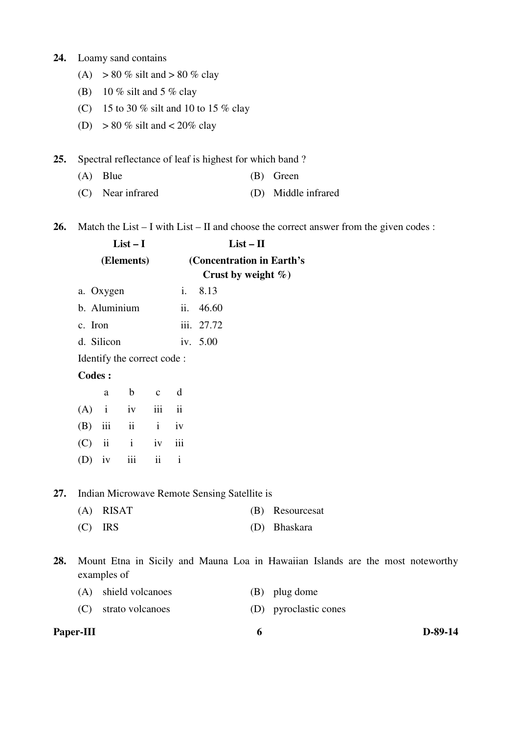#### **24.** Loamy sand contains

- (A)  $> 80\%$  silt and  $> 80\%$  clay
- (B) 10 % silt and 5 % clay
- (C) 15 to 30 % silt and 10 to 15 % clay
- (D)  $> 80\%$  silt and  $< 20\%$  clay

**25.** Spectral reflectance of leaf is highest for which band ?

- (A) Blue (B) Green
- (C) Near infrared (D) Middle infrared
- **26.** Match the List I with List II and choose the correct answer from the given codes :

|     |               |              | $List-I$                   |              |                          |                                              | $List - II$            |                                                                                |  |  |  |
|-----|---------------|--------------|----------------------------|--------------|--------------------------|----------------------------------------------|------------------------|--------------------------------------------------------------------------------|--|--|--|
|     |               |              | (Elements)                 |              |                          | (Concentration in Earth's                    | Crust by weight $\%$ ) |                                                                                |  |  |  |
|     |               | a. Oxygen    |                            |              | i.                       | 8.13                                         |                        |                                                                                |  |  |  |
|     |               |              | b. Aluminium               |              | ii.                      | 46.60                                        |                        |                                                                                |  |  |  |
|     | c. Iron       |              |                            |              |                          | iii. 27.72                                   |                        |                                                                                |  |  |  |
|     |               | d. Silicon   |                            |              |                          | iv. 5.00                                     |                        |                                                                                |  |  |  |
|     |               |              | Identify the correct code: |              |                          |                                              |                        |                                                                                |  |  |  |
|     | <b>Codes:</b> |              |                            |              |                          |                                              |                        |                                                                                |  |  |  |
|     |               | a            | $\mathbf b$                | $\mathbf{C}$ | d                        |                                              |                        |                                                                                |  |  |  |
|     | (A)           | $\mathbf{i}$ | iv                         | iii          | $\overline{\mathbf{ii}}$ |                                              |                        |                                                                                |  |  |  |
|     | (B)           | iii          | ii                         | $\mathbf{i}$ | iv                       |                                              |                        |                                                                                |  |  |  |
|     | (C)           | $\,$ ii      | $\mathbf{i}$               | iv           | iii                      |                                              |                        |                                                                                |  |  |  |
|     | (D)           | iv           | iii                        | ii           | $\mathbf i$              |                                              |                        |                                                                                |  |  |  |
| 27. |               |              |                            |              |                          | Indian Microwave Remote Sensing Satellite is |                        |                                                                                |  |  |  |
|     | (A)           | <b>RISAT</b> |                            |              |                          |                                              | (B)                    | Resourcesat                                                                    |  |  |  |
|     | (C)           | <b>IRS</b>   |                            |              |                          |                                              | (D)                    | Bhaskara                                                                       |  |  |  |
| 28. |               |              |                            |              |                          |                                              |                        | Mount Etna in Sicily and Mauna Loa in Hawaiian Islands are the most noteworthy |  |  |  |

examples of

| (A) shield volcanoes | (B) plug dome |
|----------------------|---------------|
|----------------------|---------------|

(C) strato volcanoes (D) pyroclastic cones

## **Paper-III b b**-89-14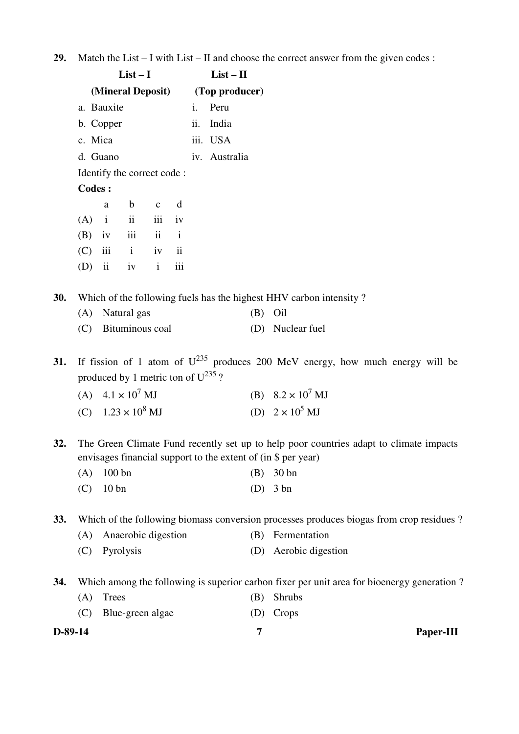|  | 29. Match the List $- I$ with List $- II$ and choose the correct answer from the given codes : |  |  |  |  |  |  |
|--|------------------------------------------------------------------------------------------------|--|--|--|--|--|--|
|--|------------------------------------------------------------------------------------------------|--|--|--|--|--|--|

|         |               |                         | $List-I$                                                            |                         |              |     | $List - II$                      |     |                                                                                                                                                         |
|---------|---------------|-------------------------|---------------------------------------------------------------------|-------------------------|--------------|-----|----------------------------------|-----|---------------------------------------------------------------------------------------------------------------------------------------------------------|
|         |               |                         |                                                                     |                         |              |     | (Mineral Deposit) (Top producer) |     |                                                                                                                                                         |
|         |               | a. Bauxite              |                                                                     |                         |              | i.  | Peru                             |     |                                                                                                                                                         |
|         |               | b. Copper               |                                                                     |                         |              | ii. | India                            |     |                                                                                                                                                         |
|         | c. Mica       |                         |                                                                     |                         |              |     | iii. USA                         |     |                                                                                                                                                         |
|         |               | d. Guano                |                                                                     |                         |              |     | iv. Australia                    |     |                                                                                                                                                         |
|         |               |                         | Identify the correct code:                                          |                         |              |     |                                  |     |                                                                                                                                                         |
|         | <b>Codes:</b> |                         |                                                                     |                         |              |     |                                  |     |                                                                                                                                                         |
|         |               | a                       | $\mathbf b$                                                         | $\mathbf{C}$            | d            |     |                                  |     |                                                                                                                                                         |
|         | (A)           | $\mathbf{i}$            | $\mathbf{ii}$                                                       | iii                     | iv           |     |                                  |     |                                                                                                                                                         |
|         | (B)           | iv                      | iii                                                                 | $\overline{\mathbf{u}}$ | $\mathbf{i}$ |     |                                  |     |                                                                                                                                                         |
|         | (C)           | iii                     | $\mathbf{i}$                                                        | $iv$ $ii$               |              |     |                                  |     |                                                                                                                                                         |
|         | (D)           | $\overline{\mathbf{u}}$ | iv                                                                  | $\mathbf{i}$            | iii          |     |                                  |     |                                                                                                                                                         |
| 30.     |               |                         |                                                                     |                         |              |     |                                  |     | Which of the following fuels has the highest HHV carbon intensity?                                                                                      |
|         | (A)           |                         | Natural gas                                                         |                         |              |     |                                  | (B) | Oil                                                                                                                                                     |
|         | (C)           |                         | Bituminous coal                                                     |                         |              |     |                                  |     | (D) Nuclear fuel                                                                                                                                        |
| 31.     |               |                         | produced by 1 metric ton of $U^{235}$ ?<br>(A) $4.1 \times 10^7$ MJ |                         |              |     |                                  |     | If fission of 1 atom of $U^{235}$ produces 200 MeV energy, how much energy will be<br>(B) $8.2 \times 10^7$ MJ                                          |
|         |               |                         |                                                                     |                         |              |     |                                  |     |                                                                                                                                                         |
|         |               |                         | (C) $1.23 \times 10^8$ MJ                                           |                         |              |     |                                  |     | (D) $2 \times 10^5$ MJ                                                                                                                                  |
| 32.     |               |                         |                                                                     |                         |              |     |                                  |     | The Green Climate Fund recently set up to help poor countries adapt to climate impacts<br>envisages financial support to the extent of (in \$ per year) |
|         | (A)           | 100bn                   |                                                                     |                         |              |     |                                  | (B) | 30 <sub>bn</sub>                                                                                                                                        |
|         | (C)           | 10bn                    |                                                                     |                         |              |     |                                  | (D) | $3 \text{ bn}$                                                                                                                                          |
| 33.     |               |                         |                                                                     |                         |              |     |                                  |     | Which of the following biomass conversion processes produces biogas from crop residues?                                                                 |
|         | (A)           |                         | Anaerobic digestion                                                 |                         |              |     |                                  | (B) | Fermentation                                                                                                                                            |
|         | (C)           |                         | Pyrolysis                                                           |                         |              |     |                                  | (D) | Aerobic digestion                                                                                                                                       |
| 34.     |               |                         |                                                                     |                         |              |     |                                  |     | Which among the following is superior carbon fixer per unit area for bioenergy generation?                                                              |
|         | (A)           | <b>Trees</b>            |                                                                     |                         |              |     |                                  | (B) | Shrubs                                                                                                                                                  |
|         | (C)           |                         | Blue-green algae                                                    |                         |              |     |                                  | (D) | Crops                                                                                                                                                   |
| D-89-14 |               |                         |                                                                     |                         |              |     |                                  | 7   | Paper-III                                                                                                                                               |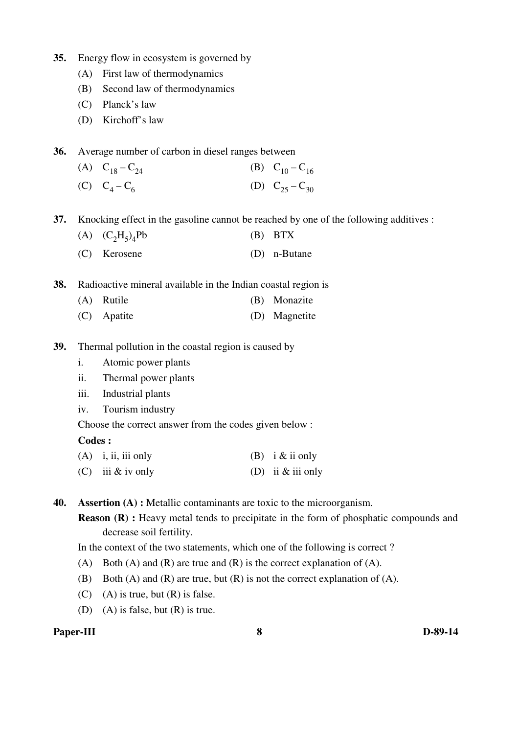- **35.** Energy flow in ecosystem is governed by
	- (A) First law of thermodynamics
	- (B) Second law of thermodynamics
	- (C) Planck's law
	- (D) Kirchoff's law
- **36.** Average number of carbon in diesel ranges between
	- (A)  $C_{18} C_{24}$  (B)  $C_{10} C_{16}$
	- $(C)$   $C_4 C_6$ (D)  $C_{25} - C_{30}$

**37.** Knocking effect in the gasoline cannot be reached by one of the following additives :

- (A)  $(C_2H_5)_4$  $(B)$  BTX
	- (C) Kerosene (D) n-Butane
- **38.** Radioactive mineral available in the Indian coastal region is
	- (A) Rutile (B) Monazite
	- (C) Apatite (D) Magnetite
- **39.** Thermal pollution in the coastal region is caused by
	- i. Atomic power plants
	- ii. Thermal power plants
	- iii. Industrial plants
	- iv. Tourism industry

Choose the correct answer from the codes given below :

#### **Codes :**

- (A) i, ii, iii only (B) i & ii only
- (C) iii  $\&$  iv only (D) ii  $\&$  iii only

**40. Assertion (A) :** Metallic contaminants are toxic to the microorganism.

**Reason (R) :** Heavy metal tends to precipitate in the form of phosphatic compounds and decrease soil fertility.

In the context of the two statements, which one of the following is correct ?

- (A) Both (A) and (R) are true and (R) is the correct explanation of (A).
- (B) Both (A) and (R) are true, but (R) is not the correct explanation of (A).
- $(C)$  (A) is true, but  $(R)$  is false.
- (D) (A) is false, but (R) is true.

## **Paper-III 8 D-89-14**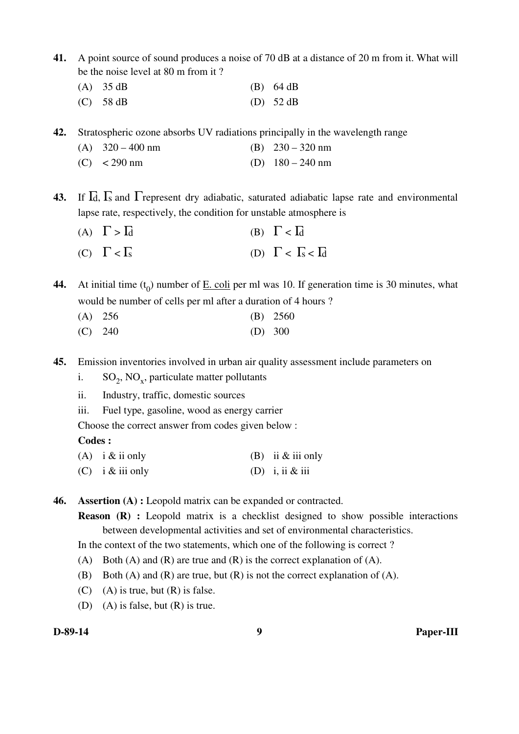**41.** A point source of sound produces a noise of 70 dB at a distance of 20 m from it. What will be the noise level at 80 m from it ?

| $(A)$ 35 dB | $(B)$ 64 dB |
|-------------|-------------|
| $(C)$ 58 dB | (D) $52 dB$ |

**42.** Stratospheric ozone absorbs UV radiations principally in the wavelength range

| (A) $320 - 400$ nm | (B) $230 - 320$ nm |
|--------------------|--------------------|
| (C) $< 290$ nm     | (D) $180 - 240$ nm |

**43.** If Γd, Γs and Γrepresent dry adiabatic, saturated adiabatic lapse rate and environmental lapse rate, respectively, the condition for unstable atmosphere is

(A)  $\Gamma > \overline{\mathrm{Id}}$  (B)  $\Gamma < \overline{\mathrm{Id}}$ (C)  $\Gamma < \Gamma_s$  (D)  $\Gamma < \Gamma_s < \Gamma_d$ 

**44.** At initial time  $(t_0)$  number of  $\underline{E}$ . coli per ml was 10. If generation time is 30 minutes, what would be number of cells per ml after a duration of 4 hours ?

- (A) 256 (B) 2560
- (C) 240 (D) 300

**45.** Emission inventories involved in urban air quality assessment include parameters on

i.  $SO_2$ , NO<sub>x</sub>, particulate matter pollutants

ii. Industry, traffic, domestic sources

iii. Fuel type, gasoline, wood as energy carrier

Choose the correct answer from codes given below :

#### **Codes :**

- (A) i  $\&$  ii only (B) ii  $\&$  iii only
- (C) i & iii only (D) i, ii & iii

**46. Assertion (A) :** Leopold matrix can be expanded or contracted.

**Reason (R) :** Leopold matrix is a checklist designed to show possible interactions between developmental activities and set of environmental characteristics.

In the context of the two statements, which one of the following is correct ?

- (A) Both (A) and (R) are true and (R) is the correct explanation of (A).
- (B) Both  $(A)$  and  $(R)$  are true, but  $(R)$  is not the correct explanation of  $(A)$ .
- $(C)$  (A) is true, but  $(R)$  is false.
- (D) (A) is false, but  $(R)$  is true.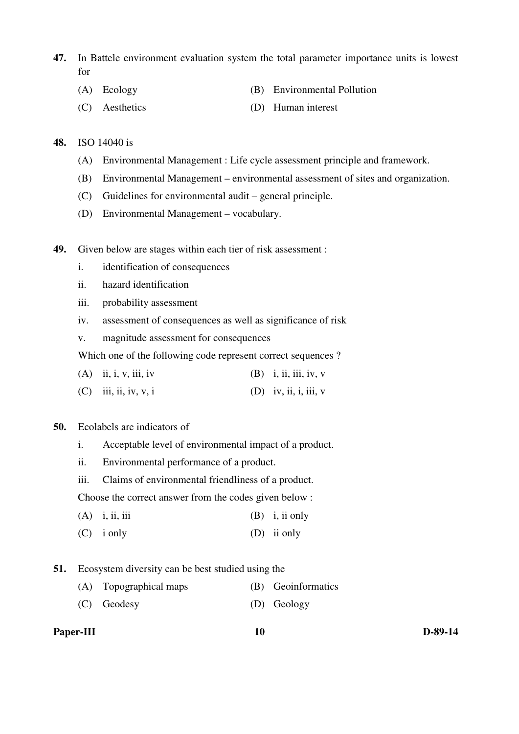- **47.** In Battele environment evaluation system the total parameter importance units is lowest for
	- (A) Ecology (B) Environmental Pollution
	- (C) Aesthetics (D) Human interest

#### **48.** ISO 14040 is

- (A) Environmental Management : Life cycle assessment principle and framework.
- (B) Environmental Management environmental assessment of sites and organization.
- (C) Guidelines for environmental audit general principle.
- (D) Environmental Management vocabulary.
- **49.** Given below are stages within each tier of risk assessment :
	- i. identification of consequences
	- ii. hazard identification
	- iii. probability assessment
	- iv. assessment of consequences as well as significance of risk
	- v. magnitude assessment for consequences

Which one of the following code represent correct sequences ?

- (A) ii, i, v, iii, iv (B) i, ii, iii, iv, v
- (C) iii, ii, iv, v, i (D) iv, ii, i, iii, v

## **50.** Ecolabels are indicators of

- i. Acceptable level of environmental impact of a product.
- ii. Environmental performance of a product.
- iii. Claims of environmental friendliness of a product.

Choose the correct answer from the codes given below :

- (A) i, ii, iii  $(B)$  i, ii only
- (C) i only (D) ii only
- **51.** Ecosystem diversity can be best studied using the
	- (A) Topographical maps (B) Geoinformatics
	- (C) Geodesy (D) Geology

#### Paper-III **D-89-14**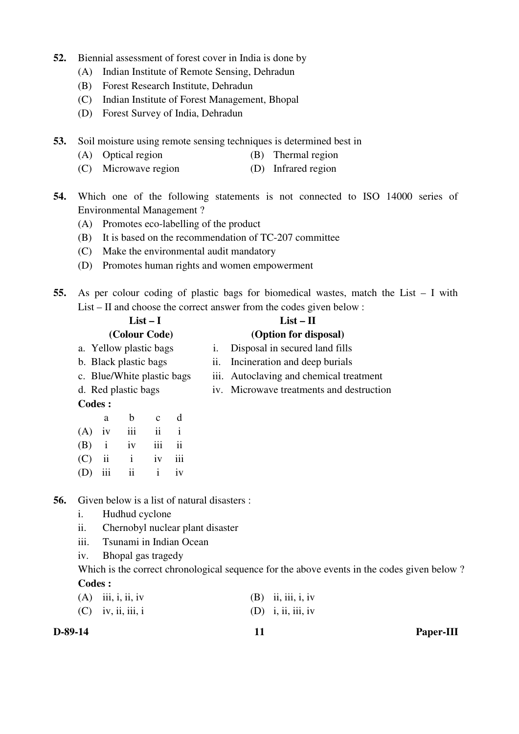- **52.** Biennial assessment of forest cover in India is done by
	- (A) Indian Institute of Remote Sensing, Dehradun
	- (B) Forest Research Institute, Dehradun
	- (C) Indian Institute of Forest Management, Bhopal
	- (D) Forest Survey of India, Dehradun
- **53.** Soil moisture using remote sensing techniques is determined best in
	- (A) Optical region (B) Thermal region
	- (C) Microwave region (D) Infrared region
- **54.** Which one of the following statements is not connected to ISO 14000 series of Environmental Management ?
	- (A) Promotes eco-labelling of the product
	- (B) It is based on the recommendation of TC-207 committee
	- (C) Make the environmental audit mandatory
	- (D) Promotes human rights and women empowerment
- **55.** As per colour coding of plastic bags for biomedical wastes, match the List I with List – II and choose the correct answer from the codes given below :

|                            |    | If any viroled the correct and $\theta$ is non-the couple gravitation. |  |
|----------------------------|----|------------------------------------------------------------------------|--|
| $List-I$                   |    | $List - II$                                                            |  |
| (Colour Code)              |    | (Option for disposal)                                                  |  |
| a. Yellow plastic bags     | 1. | Disposal in secured land fills                                         |  |
| b. Black plastic bags      |    | ii. Incineration and deep burials                                      |  |
| c. Blue/White plastic bags |    | iii. Autoclaving and chemical treatment                                |  |
| d. Red plastic bags        |    | iv. Microwave treatments and destruction                               |  |
| Codes :                    |    |                                                                        |  |

|          | a | b                 | $\mathbf{c}$ d |  |
|----------|---|-------------------|----------------|--|
|          |   | $(A)$ iv iii ii i |                |  |
|          |   | $(B)$ i iv iii ii |                |  |
| $(C)$ ii |   | <i>i</i> iv iii   |                |  |
|          |   | $(D)$ iii ii iv   |                |  |

**56.** Given below is a list of natural disasters :

- i. Hudhud cyclone
- ii. Chernobyl nuclear plant disaster
- iii. Tsunami in Indian Ocean
- iv. Bhopal gas tragedy

Which is the correct chronological sequence for the above events in the codes given below ? **Codes :** 

| $(A)$ iii, i, ii, iv | $(B)$ ii, iii, i, iv |
|----------------------|----------------------|
| $(C)$ iv, ii, iii, i | $(D)$ i, ii, iii, iv |

**D-89-14 11 Paper-III**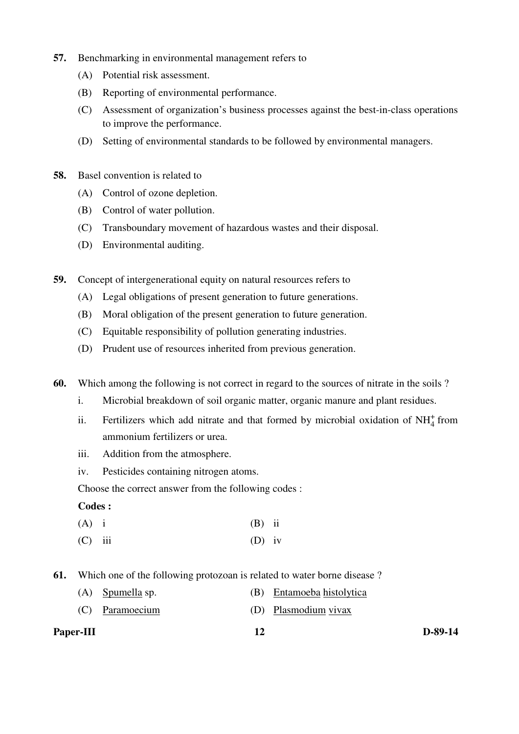- **57.** Benchmarking in environmental management refers to
	- (A) Potential risk assessment.
	- (B) Reporting of environmental performance.
	- (C) Assessment of organization's business processes against the best-in-class operations to improve the performance.
	- (D) Setting of environmental standards to be followed by environmental managers.
- **58.** Basel convention is related to
	- (A) Control of ozone depletion.
	- (B) Control of water pollution.
	- (C) Transboundary movement of hazardous wastes and their disposal.
	- (D) Environmental auditing.

**59.** Concept of intergenerational equity on natural resources refers to

- (A) Legal obligations of present generation to future generations.
- (B) Moral obligation of the present generation to future generation.
- (C) Equitable responsibility of pollution generating industries.
- (D) Prudent use of resources inherited from previous generation.
- **60.** Which among the following is not correct in regard to the sources of nitrate in the soils ?
	- i. Microbial breakdown of soil organic matter, organic manure and plant residues.
- ii. Fertilizers which add nitrate and that formed by microbial oxidation of  $NH<sub>4</sub><sup>+</sup>$  from ammonium fertilizers or urea.
	- iii. Addition from the atmosphere.
	- iv. Pesticides containing nitrogen atoms.

Choose the correct answer from the following codes :

#### **Codes :**

- $(A)$  i (B) ii
- (C) iii (D) iv
- **61.** Which one of the following protozoan is related to water borne disease ?
	- (A) Spumella sp. (B) Entamoeba histolytica
	- (C) Paramoecium (D) Plasmodium vivax

| Paper-III | D-89-14 |
|-----------|---------|
|           |         |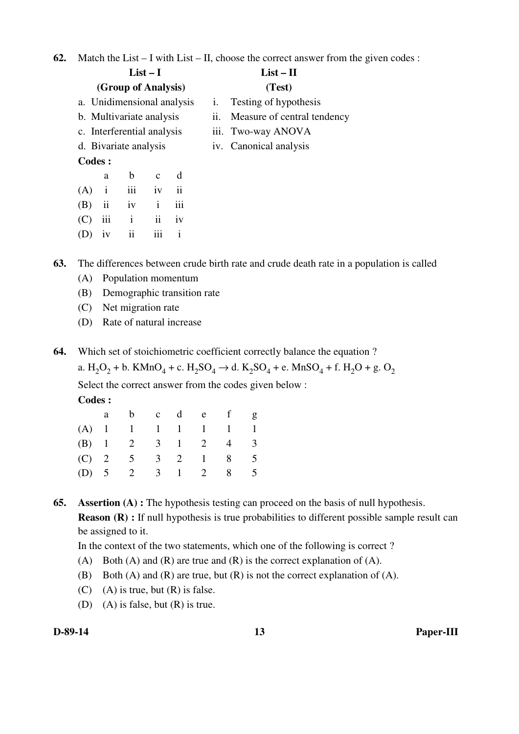**62.** Match the List – I with List – II, choose the correct answer from the given codes :

|         |              |                            | $List-I$         |                         |                | $List - II$                 |  |  |
|---------|--------------|----------------------------|------------------|-------------------------|----------------|-----------------------------|--|--|
|         |              | (Group of Analysis)        |                  |                         |                | (Test)                      |  |  |
|         |              | a. Unidimensional analysis |                  |                         | $\mathbf{1}$ . | Testing of hypothesis       |  |  |
|         |              | b. Multivariate analysis   |                  |                         | 11.            | Measure of central tendency |  |  |
|         |              | c. Interferential analysis |                  |                         |                | iii. Two-way ANOVA          |  |  |
|         |              | d. Bivariate analysis      |                  |                         |                | iv. Canonical analysis      |  |  |
| Codes : |              |                            |                  |                         |                |                             |  |  |
|         | a            | $\mathbf b$                | $\mathbf{C}$     | d                       |                |                             |  |  |
| (A)     | $\mathbf{1}$ | iii                        | iv               | $\overline{\mathbf{u}}$ |                |                             |  |  |
| (B)     | ii           | iv                         | $\mathbf{i}$     | iii                     |                |                             |  |  |
| (C)     | 111          | $\mathbf{i}$               | ii               | iv                      |                |                             |  |  |
| (D)     | 1V           | ii                         | $\overline{iii}$ | $\mathbf{i}$            |                |                             |  |  |
|         |              |                            |                  |                         |                |                             |  |  |

**63.** The differences between crude birth rate and crude death rate in a population is called

- (A) Population momentum
- (B) Demographic transition rate
- (C) Net migration rate
- (D) Rate of natural increase
- **64.** Which set of stoichiometric coefficient correctly balance the equation ?

a.  $H_2O_2$  + b. KMn $O_4$  + c.  $H_2SO_4 \rightarrow d$ . K<sub>2</sub>SO<sub>4</sub> + e. MnSO<sub>4</sub> + f. H<sub>2</sub>O + g. O<sub>2</sub>

Select the correct answer from the codes given below :

**Codes :** 

|  | a b c d e f g     |  |  |  |
|--|-------------------|--|--|--|
|  | (A) 1 1 1 1 1 1 1 |  |  |  |
|  | (B) 1 2 3 1 2 4 3 |  |  |  |
|  | (C) 2 5 3 2 1 8 5 |  |  |  |
|  | (D) 5 2 3 1 2 8 5 |  |  |  |

#### **65. Assertion (A) :** The hypothesis testing can proceed on the basis of null hypothesis.

**Reason (R) :** If null hypothesis is true probabilities to different possible sample result can be assigned to it.

In the context of the two statements, which one of the following is correct ?

- (A) Both (A) and (R) are true and (R) is the correct explanation of (A).
- (B) Both (A) and (R) are true, but (R) is not the correct explanation of (A).
- (C) (A) is true, but  $(R)$  is false.
- (D) (A) is false, but (R) is true.

**D-89-14 13 Paper-III**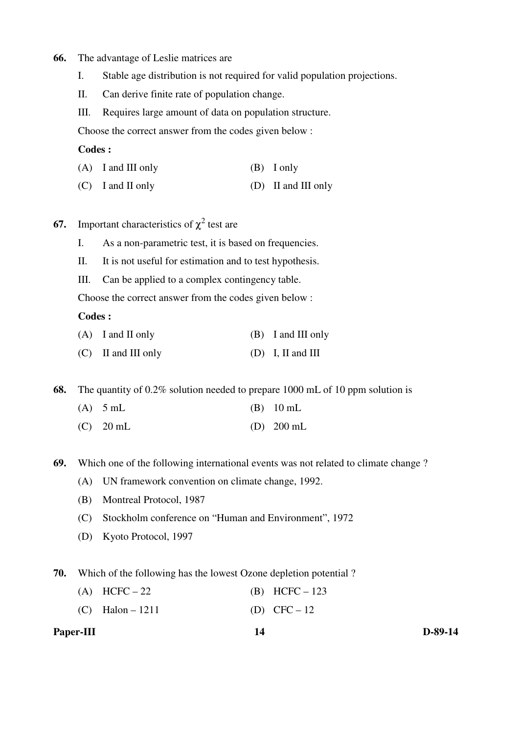#### **66.** The advantage of Leslie matrices are

- I. Stable age distribution is not required for valid population projections.
- II. Can derive finite rate of population change.

III. Requires large amount of data on population structure.

Choose the correct answer from the codes given below :

## **Codes :**

| $(A)$ I and III only | $(B)$ I only        |
|----------------------|---------------------|
| $(C)$ I and II only  | (D) II and III only |

- **67.** Important characteristics of  $\chi^2$  test are
	- I. As a non-parametric test, it is based on frequencies.
	- II. It is not useful for estimation and to test hypothesis.
	- III. Can be applied to a complex contingency table.

Choose the correct answer from the codes given below :

#### **Codes :**

| $(A)$ I and II only | (B) I and III only |
|---------------------|--------------------|
|---------------------|--------------------|

(C) II and III only (D) I, II and III

**68.** The quantity of 0.2% solution needed to prepare 1000 mL of 10 ppm solution is

- (A)  $5 \text{ mL}$  (B)  $10 \text{ mL}$
- (C) 20 mL (D) 200 mL

**69.** Which one of the following international events was not related to climate change ?

- (A) UN framework convention on climate change, 1992.
- (B) Montreal Protocol, 1987
- (C) Stockholm conference on "Human and Environment", 1972
- (D) Kyoto Protocol, 1997

**70.** Which of the following has the lowest Ozone depletion potential ?

- (A) HCFC 22 (B) HCFC 123
- (C) Halon 1211 (D) CFC 12

| Paper-III | D-89-14 |
|-----------|---------|
|           |         |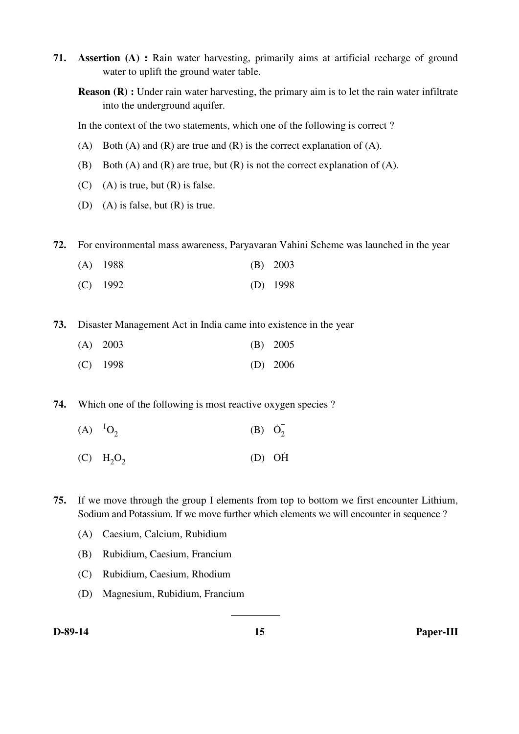- **71. Assertion (A) :** Rain water harvesting, primarily aims at artificial recharge of ground water to uplift the ground water table.
	- **Reason (R) :** Under rain water harvesting, the primary aim is to let the rain water infiltrate into the underground aquifer.

In the context of the two statements, which one of the following is correct ?

- (A) Both (A) and (R) are true and (R) is the correct explanation of (A).
- (B) Both  $(A)$  and  $(R)$  are true, but  $(R)$  is not the correct explanation of  $(A)$ .
- $(C)$  (A) is true, but  $(R)$  is false.
- (D) (A) is false, but  $(R)$  is true.

**72.** For environmental mass awareness, Paryavaran Vahini Scheme was launched in the year

- (A) 1988 (B) 2003
- (C) 1992 (D) 1998

**73.** Disaster Management Act in India came into existence in the year

| $(A)$ 2003 | $(B)$ 2005 |
|------------|------------|
| $(C)$ 1998 | $(D)$ 2006 |

**74.** Which one of the following is most reactive oxygen species ?

- $(A)$ <sup>1</sup>O<sub>2</sub> (B)  $\dot{O}_2^ \overline{2}$
- $(C)$  H<sub>2</sub>O<sub>2</sub>  $(D)$   $OH$

**75.** If we move through the group I elements from top to bottom we first encounter Lithium, Sodium and Potassium. If we move further which elements we will encounter in sequence ?

- (A) Caesium, Calcium, Rubidium
- (B) Rubidium, Caesium, Francium
- (C) Rubidium, Caesium, Rhodium
- (D) Magnesium, Rubidium, Francium

 $\overline{a}$